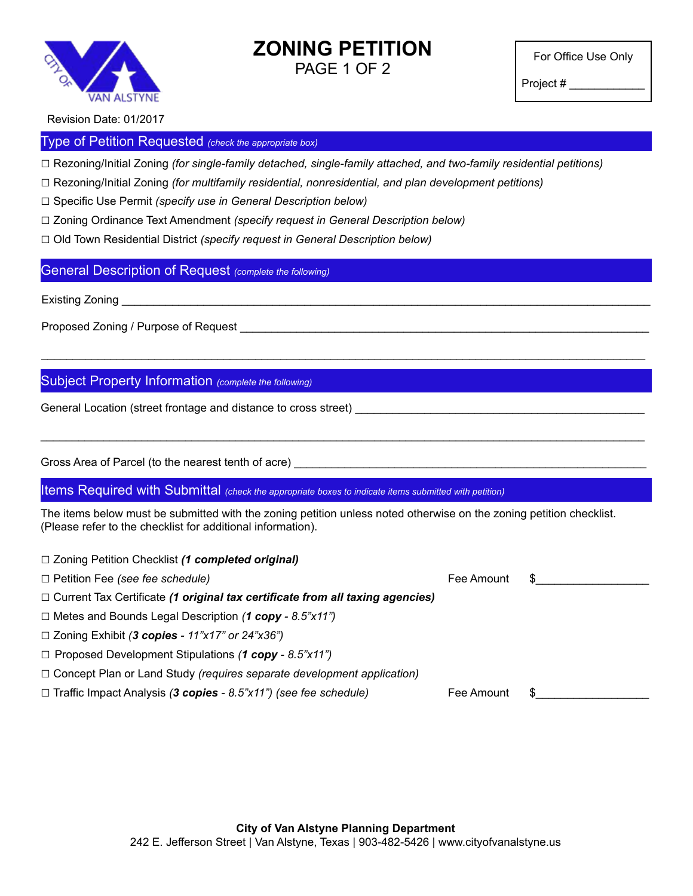

### **ZONING PETITION** PAGE 1 OF 2

For Office Use Only

Project # \_\_\_\_\_\_\_\_\_\_\_\_

Revision Date: 01/2017

#### Type of Petition Requested *(check the appropriate box)*

□ Rezoning/Initial Zoning *(for single-family detached, single-family attached, and two-family residential petitions)*

□ Rezoning/Initial Zoning *(for multifamily residential, nonresidential, and plan development petitions)*

□ Specific Use Permit *(specify use in General Description below)*

□ Zoning Ordinance Text Amendment *(specify request in General Description below)*

□ Old Town Residential District *(specify request in General Description below)*

General Description of Request *(complete the following)*

Existing Zoning

Proposed Zoning / Purpose of Request **Example 20** North 2001 and 2001 and 2001 and 2001 and 2002 and 2008 and 200

#### Subject Property Information *(complete the following)*

General Location (street frontage and distance to cross street) \_\_\_\_\_\_\_\_\_\_\_\_\_\_\_\_\_\_\_\_\_\_\_\_\_\_\_\_\_\_\_\_\_\_\_\_\_\_\_\_\_\_\_\_\_\_

Gross Area of Parcel (to the nearest tenth of acre)

□ Zoning Petition Checklist *(1 completed original)*

Items Required with Submittal *(check the appropriate boxes to indicate items submitted with petition)*

The items below must be submitted with the zoning petition unless noted otherwise on the zoning petition checklist. (Please refer to the checklist for additional information).

\_\_\_\_\_\_\_\_\_\_\_\_\_\_\_\_\_\_\_\_\_\_\_\_\_\_\_\_\_\_\_\_\_\_\_\_\_\_\_\_\_\_\_\_\_\_\_\_\_\_\_\_\_\_\_\_\_\_\_\_\_\_\_\_\_\_\_\_\_\_\_\_\_\_\_\_\_\_\_\_\_\_\_\_\_\_\_\_\_\_\_\_\_\_\_\_

\_\_\_\_\_\_\_\_\_\_\_\_\_\_\_\_\_\_\_\_\_\_\_\_\_\_\_\_\_\_\_\_\_\_\_\_\_\_\_\_\_\_\_\_\_\_\_\_\_\_\_\_\_\_\_\_\_\_\_\_\_\_\_\_\_\_\_\_\_\_\_\_\_\_\_\_\_\_\_\_\_\_\_\_\_\_\_\_\_\_\_\_\_\_\_\_

| $\Box$ Loring Feature Critical Strip Completed Originary                             |            |     |
|--------------------------------------------------------------------------------------|------------|-----|
| $\Box$ Petition Fee (see fee schedule)                                               | Fee Amount | \$. |
| $\Box$ Current Tax Certificate (1 original tax certificate from all taxing agencies) |            |     |
| $\Box$ Metes and Bounds Legal Description (1 copy - 8.5"x11")                        |            |     |
| $\Box$ Zoning Exhibit (3 copies - 11"x17" or 24"x36")                                |            |     |
| $\Box$ Proposed Development Stipulations (1 copy - 8.5"x11")                         |            |     |
| $\Box$ Concept Plan or Land Study (requires separate development application)        |            |     |
| $\Box$ Traffic Impact Analysis (3 copies - 8.5"x11") (see fee schedule)              | Fee Amount |     |
|                                                                                      |            |     |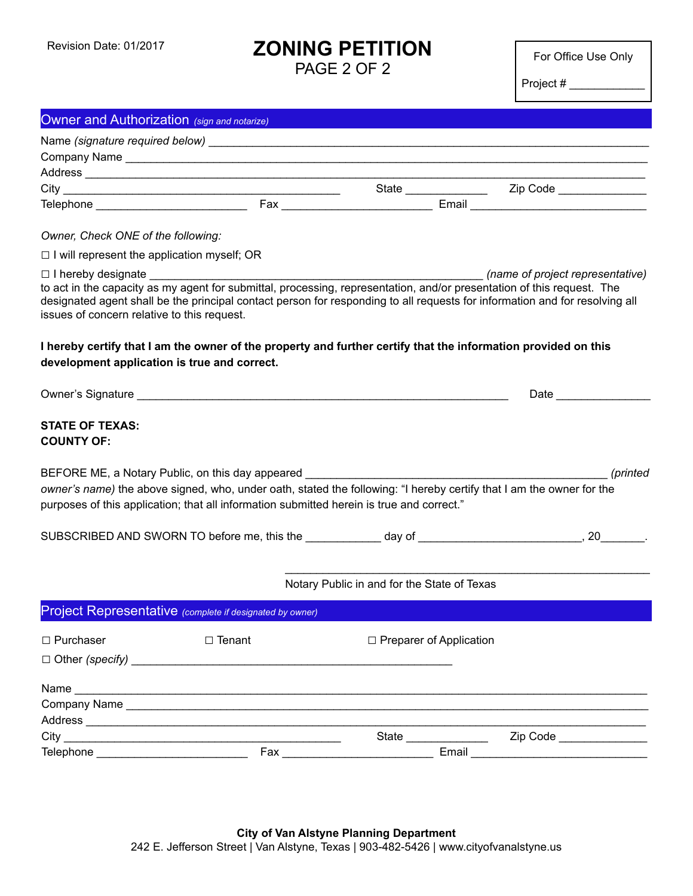## **ZONING PETITION**

PAGE 2 OF 2

For Office Use Only

Project # \_\_\_\_\_\_\_\_\_\_\_\_

| Owner and Authorization (sign and notarize)        |                                                                                                                                                                                                                                                                                        |                                             |                                                                                                                             |  |  |
|----------------------------------------------------|----------------------------------------------------------------------------------------------------------------------------------------------------------------------------------------------------------------------------------------------------------------------------------------|---------------------------------------------|-----------------------------------------------------------------------------------------------------------------------------|--|--|
|                                                    |                                                                                                                                                                                                                                                                                        |                                             |                                                                                                                             |  |  |
|                                                    |                                                                                                                                                                                                                                                                                        |                                             |                                                                                                                             |  |  |
|                                                    |                                                                                                                                                                                                                                                                                        |                                             |                                                                                                                             |  |  |
|                                                    |                                                                                                                                                                                                                                                                                        |                                             |                                                                                                                             |  |  |
|                                                    |                                                                                                                                                                                                                                                                                        |                                             |                                                                                                                             |  |  |
| Owner, Check ONE of the following:                 |                                                                                                                                                                                                                                                                                        |                                             |                                                                                                                             |  |  |
| $\Box$ I will represent the application myself; OR |                                                                                                                                                                                                                                                                                        |                                             |                                                                                                                             |  |  |
|                                                    |                                                                                                                                                                                                                                                                                        |                                             | (name of project representative)                                                                                            |  |  |
| issues of concern relative to this request.        | to act in the capacity as my agent for submittal, processing, representation, and/or presentation of this request. The                                                                                                                                                                 |                                             | designated agent shall be the principal contact person for responding to all requests for information and for resolving all |  |  |
| development application is true and correct.       | I hereby certify that I am the owner of the property and further certify that the information provided on this                                                                                                                                                                         |                                             |                                                                                                                             |  |  |
|                                                    |                                                                                                                                                                                                                                                                                        |                                             | Date and the state of the state of the state of the state of the state of the state of the state of the state o             |  |  |
| <b>STATE OF TEXAS:</b><br><b>COUNTY OF:</b>        | BEFORE ME, a Notary Public, on this day appeared ________________<br>owner's name) the above signed, who, under oath, stated the following: "I hereby certify that I am the owner for the<br>purposes of this application; that all information submitted herein is true and correct." |                                             | (printed                                                                                                                    |  |  |
|                                                    |                                                                                                                                                                                                                                                                                        |                                             |                                                                                                                             |  |  |
|                                                    |                                                                                                                                                                                                                                                                                        | Notary Public in and for the State of Texas |                                                                                                                             |  |  |
|                                                    | Project Representative (complete if designated by owner)                                                                                                                                                                                                                               |                                             |                                                                                                                             |  |  |
| □ Purchaser                                        | $\Box$ Tenant                                                                                                                                                                                                                                                                          | $\Box$ Preparer of Application              |                                                                                                                             |  |  |
|                                                    |                                                                                                                                                                                                                                                                                        |                                             |                                                                                                                             |  |  |
|                                                    |                                                                                                                                                                                                                                                                                        |                                             |                                                                                                                             |  |  |
|                                                    |                                                                                                                                                                                                                                                                                        |                                             |                                                                                                                             |  |  |
|                                                    |                                                                                                                                                                                                                                                                                        |                                             |                                                                                                                             |  |  |
| Telephone _______________________________          |                                                                                                                                                                                                                                                                                        |                                             |                                                                                                                             |  |  |
|                                                    |                                                                                                                                                                                                                                                                                        |                                             |                                                                                                                             |  |  |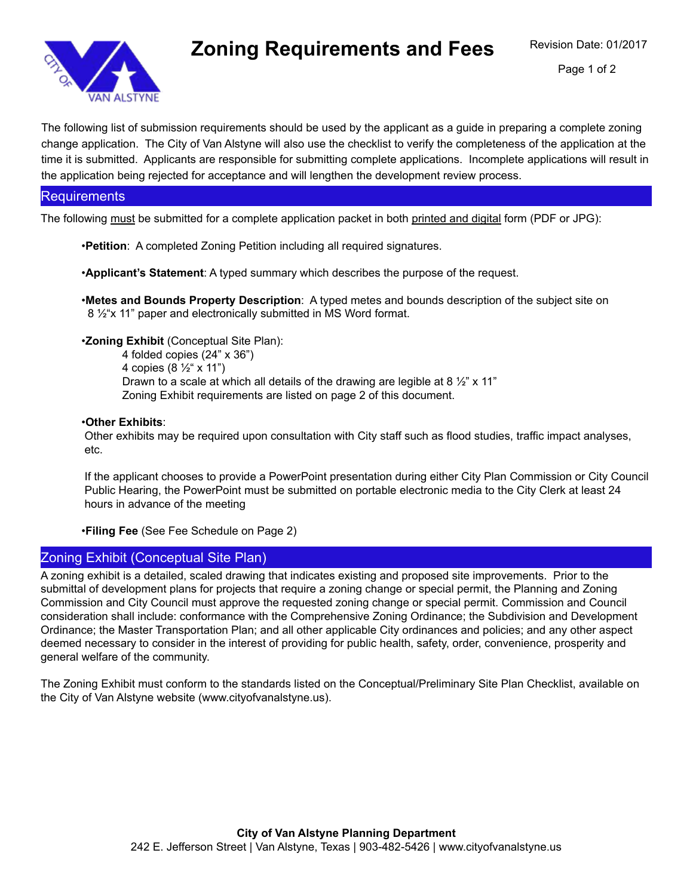

# **Zoning Requirements and Fees**

The following list of submission requirements should be used by the applicant as a guide in preparing a complete zoning change application. The City of Van Alstyne will also use the checklist to verify the completeness of the application at the time it is submitted. Applicants are responsible for submitting complete applications. Incomplete applications will result in the application being rejected for acceptance and will lengthen the development review process.

#### **Requirements**

The following must be submitted for a complete application packet in both printed and digital form (PDF or JPG):

•**Petition**: A completed Zoning Petition including all required signatures.

•**Applicant's Statement**: A typed summary which describes the purpose of the request.

•**Metes and Bounds Property Description**: A typed metes and bounds description of the subject site on 8 ½"x 11" paper and electronically submitted in MS Word format.

•**Zoning Exhibit** (Conceptual Site Plan):

4 folded copies (24" x 36") 4 copies (8 ½" x 11") Drawn to a scale at which all details of the drawing are legible at 8  $\frac{1}{2}$ " x 11" Zoning Exhibit requirements are listed on page 2 of this document.

#### •**Other Exhibits**:

Other exhibits may be required upon consultation with City staff such as flood studies, traffic impact analyses, etc.

If the applicant chooses to provide a PowerPoint presentation during either City Plan Commission or City Council Public Hearing, the PowerPoint must be submitted on portable electronic media to the City Clerk at least 24 hours in advance of the meeting

•**Filing Fee** (See Fee Schedule on Page 2)

#### Zoning Exhibit (Conceptual Site Plan)

A zoning exhibit is a detailed, scaled drawing that indicates existing and proposed site improvements. Prior to the submittal of development plans for projects that require a zoning change or special permit, the Planning and Zoning Commission and City Council must approve the requested zoning change or special permit. Commission and Council consideration shall include: conformance with the Comprehensive Zoning Ordinance; the Subdivision and Development Ordinance; the Master Transportation Plan; and all other applicable City ordinances and policies; and any other aspect deemed necessary to consider in the interest of providing for public health, safety, order, convenience, prosperity and general welfare of the community.

The Zoning Exhibit must conform to the standards listed on the Conceptual/Preliminary Site Plan Checklist, available on the City of Van Alstyne website (www.cityofvanalstyne.us).